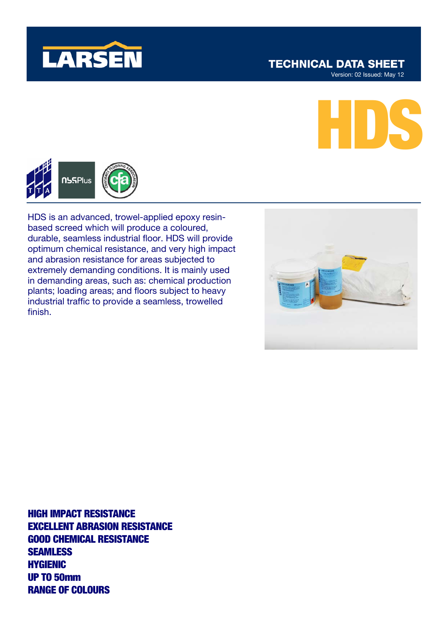

# **TECHNICAL DATA SHEET**

Version: 02 Issued: May 12





HDS is an advanced, trowel-applied epoxy resinbased screed which will produce a coloured, durable, seamless industrial floor. HDS will provide optimum chemical resistance, and very high impact and abrasion resistance for areas subjected to extremely demanding conditions. It is mainly used in demanding areas, such as: chemical production plants; loading areas; and floors subject to heavy industrial traffic to provide a seamless, trowelled finish.



HIGH IMPACT RESISTANCE EXCELLENT ABRASION RESISTANCE GOOD CHEMICAL RESISTANCE **SEAMLESS** HYGIENIC UP TO 50mm RANGE OF COLOURS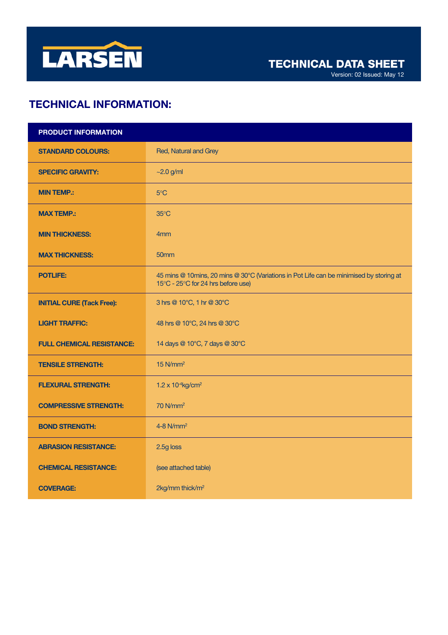

Version: 02 Issued: May 12

# TECHNICAL INFORMATION:

| PRODUCT INFORMATION              |                                                                                                                               |  |  |
|----------------------------------|-------------------------------------------------------------------------------------------------------------------------------|--|--|
| <b>STANDARD COLOURS:</b>         | Red, Natural and Grey                                                                                                         |  |  |
| <b>SPECIFIC GRAVITY:</b>         | $\sim$ 2.0 g/ml                                                                                                               |  |  |
| <b>MIN TEMP.:</b>                | 5°C                                                                                                                           |  |  |
| <b>MAX TEMP.:</b>                | $35^{\circ}$ C                                                                                                                |  |  |
| <b>MIN THICKNESS:</b>            | 4 <sub>mm</sub>                                                                                                               |  |  |
| <b>MAX THICKNESS:</b>            | 50 <sub>mm</sub>                                                                                                              |  |  |
| <b>POTLIFE:</b>                  | 45 mins @ 10mins, 20 mins @ 30°C (Variations in Pot Life can be minimised by storing at<br>15°C - 25°C for 24 hrs before use) |  |  |
| <b>INITIAL CURE (Tack Free):</b> | 3 hrs @ 10°C, 1 hr @ 30°C                                                                                                     |  |  |
| <b>LIGHT TRAFFIC:</b>            | 48 hrs @ 10°C, 24 hrs @ 30°C                                                                                                  |  |  |
| <b>FULL CHEMICAL RESISTANCE:</b> | 14 days @ 10°C, 7 days @ 30°C                                                                                                 |  |  |
| <b>TENSILE STRENGTH:</b>         | $15$ N/mm <sup>2</sup>                                                                                                        |  |  |
| <b>FLEXURAL STRENGTH:</b>        | $1.2 \times 10^{-4}$ kg/cm <sup>2</sup>                                                                                       |  |  |
| <b>COMPRESSIVE STRENGTH:</b>     | 70 N/mm <sup>2</sup>                                                                                                          |  |  |
| <b>BOND STRENGTH:</b>            | $4-8$ N/mm <sup>2</sup>                                                                                                       |  |  |
| <b>ABRASION RESISTANCE:</b>      | 2.5g loss                                                                                                                     |  |  |
| <b>CHEMICAL RESISTANCE:</b>      | (see attached table)                                                                                                          |  |  |
| <b>COVERAGE:</b>                 | 2kg/mm thick/m <sup>2</sup>                                                                                                   |  |  |